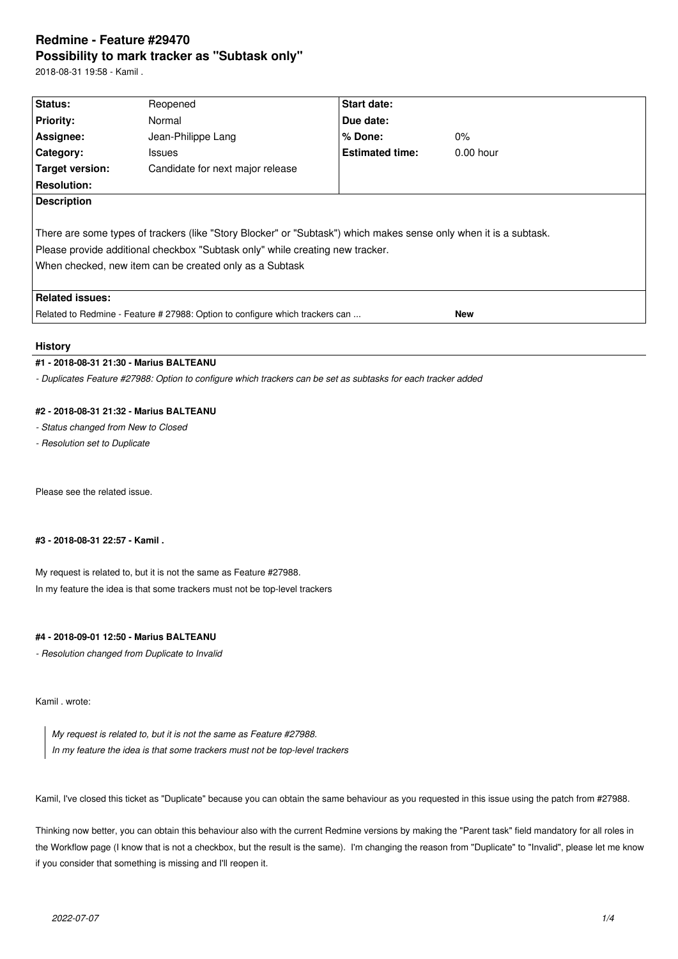# **Redmine - Feature #29470 Possibility to mark tracker as "Subtask only"**

2018-08-31 19:58 - Kamil .

| Status:                                                                                                                                                                                                                                                       |                                  | Start date:            |             |  |  |  |
|---------------------------------------------------------------------------------------------------------------------------------------------------------------------------------------------------------------------------------------------------------------|----------------------------------|------------------------|-------------|--|--|--|
|                                                                                                                                                                                                                                                               | Reopened                         |                        |             |  |  |  |
| <b>Priority:</b>                                                                                                                                                                                                                                              | Normal                           | Due date:              |             |  |  |  |
| Assignee:                                                                                                                                                                                                                                                     | Jean-Philippe Lang               | $%$ Done:              | $0\%$       |  |  |  |
| Category:                                                                                                                                                                                                                                                     | <b>Issues</b>                    | <b>Estimated time:</b> | $0.00$ hour |  |  |  |
| Target version:                                                                                                                                                                                                                                               | Candidate for next major release |                        |             |  |  |  |
| <b>Resolution:</b>                                                                                                                                                                                                                                            |                                  |                        |             |  |  |  |
| <b>Description</b>                                                                                                                                                                                                                                            |                                  |                        |             |  |  |  |
| There are some types of trackers (like "Story Blocker" or "Subtask") which makes sense only when it is a subtask.<br>Please provide additional checkbox "Subtask only" while creating new tracker.<br>When checked, new item can be created only as a Subtask |                                  |                        |             |  |  |  |
| <b>Related issues:</b>                                                                                                                                                                                                                                        |                                  |                        |             |  |  |  |
| Related to Redmine - Feature # 27988: Option to configure which trackers can<br><b>New</b>                                                                                                                                                                    |                                  |                        |             |  |  |  |

# **History**

### **#1 - 2018-08-31 21:30 - Marius BALTEANU**

*- Duplicates Feature #27988: Option to configure which trackers can be set as subtasks for each tracker added*

### **#2 - 2018-08-31 21:32 - Marius BALTEANU**

*- Status changed from New to Closed*

*- Resolution set to Duplicate*

Please see the related issue.

### **#3 - 2018-08-31 22:57 - Kamil .**

My request is related to, but it is not the same as Feature #27988. In my feature the idea is that some trackers must not be top-level trackers

# **#4 - 2018-09-01 12:50 - Marius BALTEANU**

*- Resolution changed from Duplicate to Invalid*

Kamil . wrote:

*My request is related to, but it is not the same as Feature #27988. In my feature the idea is that some trackers must not be top-level trackers*

Kamil, I've closed this ticket as "Duplicate" because you can obtain the same behaviour as you requested in this issue using the patch from #27988.

Thinking now better, you can obtain this behaviour also with the current Redmine versions by making the "Parent task" field mandatory for all roles in the Workflow page (I know that is not a checkbox, but the result is the same). I'm changing the reason from "Duplicate" to "Invalid", please let me know if you consider that something is missing and I'll reopen it.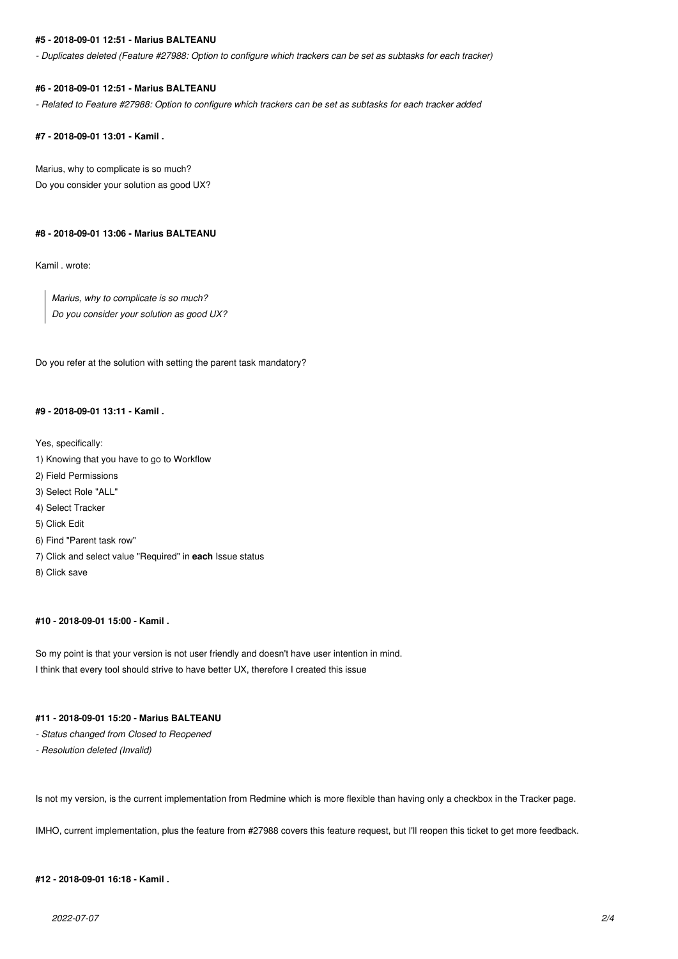#### **#5 - 2018-09-01 12:51 - Marius BALTEANU**

*- Duplicates deleted (Feature #27988: Option to configure which trackers can be set as subtasks for each tracker)*

#### **#6 - 2018-09-01 12:51 - Marius BALTEANU**

*- Related to Feature #27988: Option to configure which trackers can be set as subtasks for each tracker added*

**#7 - 2018-09-01 13:01 - Kamil .**

Marius, why to complicate is so much? Do you consider your solution as good UX?

#### **#8 - 2018-09-01 13:06 - Marius BALTEANU**

Kamil . wrote:

*Marius, why to complicate is so much? Do you consider your solution as good UX?*

Do you refer at the solution with setting the parent task mandatory?

### **#9 - 2018-09-01 13:11 - Kamil .**

Yes, specifically:

- 1) Knowing that you have to go to Workflow
- 2) Field Permissions
- 3) Select Role "ALL"
- 4) Select Tracker
- 5) Click Edit
- 6) Find "Parent task row"
- 7) Click and select value "Required" in **each** Issue status
- 8) Click save

### **#10 - 2018-09-01 15:00 - Kamil .**

So my point is that your version is not user friendly and doesn't have user intention in mind. I think that every tool should strive to have better UX, therefore I created this issue

### **#11 - 2018-09-01 15:20 - Marius BALTEANU**

- *Status changed from Closed to Reopened*
- *Resolution deleted (Invalid)*

Is not my version, is the current implementation from Redmine which is more flexible than having only a checkbox in the Tracker page.

IMHO, current implementation, plus the feature from #27988 covers this feature request, but I'll reopen this ticket to get more feedback.

### **#12 - 2018-09-01 16:18 - Kamil .**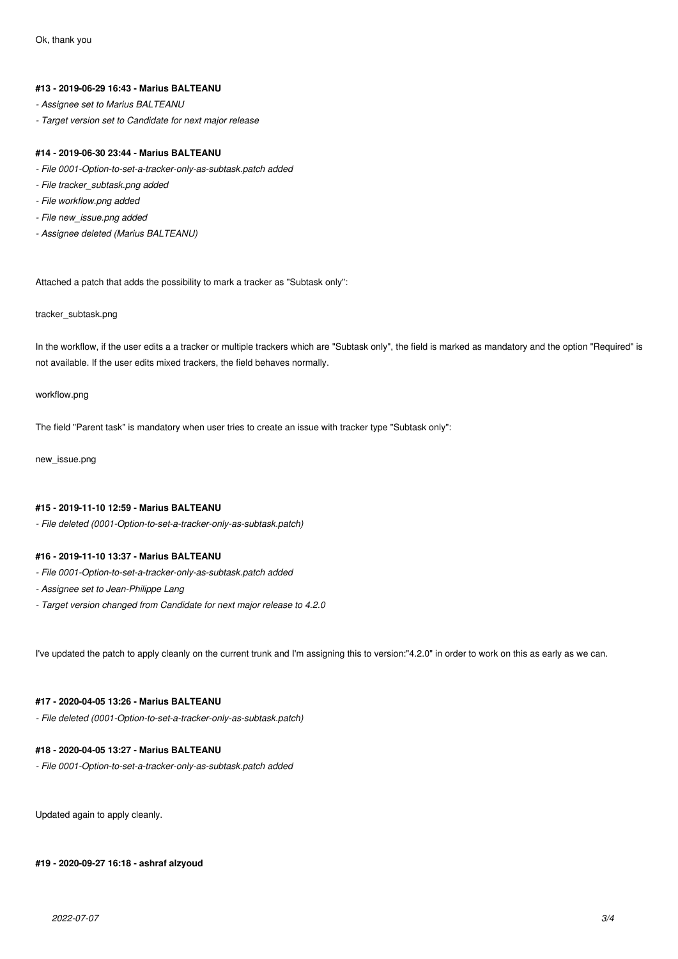#### **#13 - 2019-06-29 16:43 - Marius BALTEANU**

- *Assignee set to Marius BALTEANU*
- *Target version set to Candidate for next major release*

#### **#14 - 2019-06-30 23:44 - Marius BALTEANU**

- *File 0001-Option-to-set-a-tracker-only-as-subtask.patch added*
- *File tracker\_subtask.png added*
- *File workflow.png added*
- *File new\_issue.png added*
- *Assignee deleted (Marius BALTEANU)*

Attached a patch that adds the possibility to mark a tracker as "Subtask only":

#### tracker\_subtask.png

In the workflow, if the user edits a a tracker or multiple trackers which are "Subtask only", the field is marked as mandatory and the option "Required" is not available. If the user edits mixed trackers, the field behaves normally.

#### workflow.png

The field "Parent task" is mandatory when user tries to create an issue with tracker type "Subtask only":

new\_issue.png

### **#15 - 2019-11-10 12:59 - Marius BALTEANU**

*- File deleted (0001-Option-to-set-a-tracker-only-as-subtask.patch)*

### **#16 - 2019-11-10 13:37 - Marius BALTEANU**

- *File 0001-Option-to-set-a-tracker-only-as-subtask.patch added*
- *Assignee set to Jean-Philippe Lang*
- *Target version changed from Candidate for next major release to 4.2.0*

I've updated the patch to apply cleanly on the current trunk and I'm assigning this to version:"4.2.0" in order to work on this as early as we can.

### **#17 - 2020-04-05 13:26 - Marius BALTEANU**

*- File deleted (0001-Option-to-set-a-tracker-only-as-subtask.patch)*

### **#18 - 2020-04-05 13:27 - Marius BALTEANU**

*- File 0001-Option-to-set-a-tracker-only-as-subtask.patch added*

Updated again to apply cleanly.

**#19 - 2020-09-27 16:18 - ashraf alzyoud**